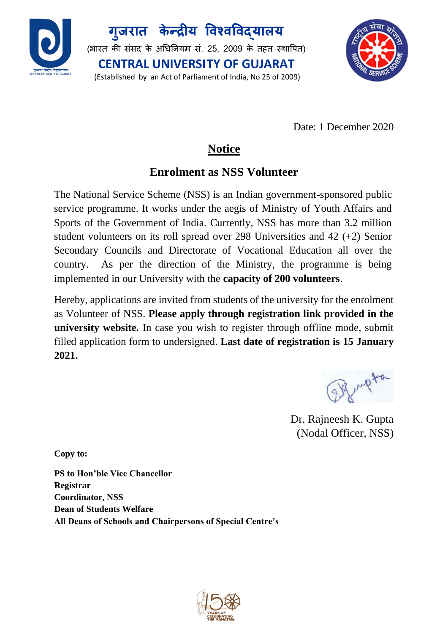

**ग ु जरात के न्द्रीय विश्िविद्यालय** (भारत की संसद के अधिनियम सं. 25, 2009 के तहत स्थापित) **CENTRAL UNIVERSITY OF GUJARAT** (Established by an Act of Parliament of India, No 25 of 2009)



Date: 1 December 2020

## **Notice**

## **Enrolment as NSS Volunteer**

The National Service Scheme (NSS) is an Indian government-sponsored public service programme. It works under the aegis of Ministry of Youth Affairs and Sports of the Government of India. Currently, NSS has more than 3.2 million student volunteers on its roll spread over 298 Universities and 42 (+2) Senior Secondary Councils and Directorate of Vocational Education all over the country. As per the direction of the Ministry, the programme is being implemented in our University with the **capacity of 200 volunteers**.

Hereby, applications are invited from students of the university for the enrolment as Volunteer of NSS. **Please apply through registration link provided in the university website.** In case you wish to register through offline mode, submit filled application form to undersigned. **Last date of registration is 15 January 2021.**

2 Marpton

 Dr. Rajneesh K. Gupta (Nodal Officer, NSS)

**Copy to:**

**PS to Hon'ble Vice Chancellor Registrar Coordinator, NSS Dean of Students Welfare All Deans of Schools and Chairpersons of Special Centre's**